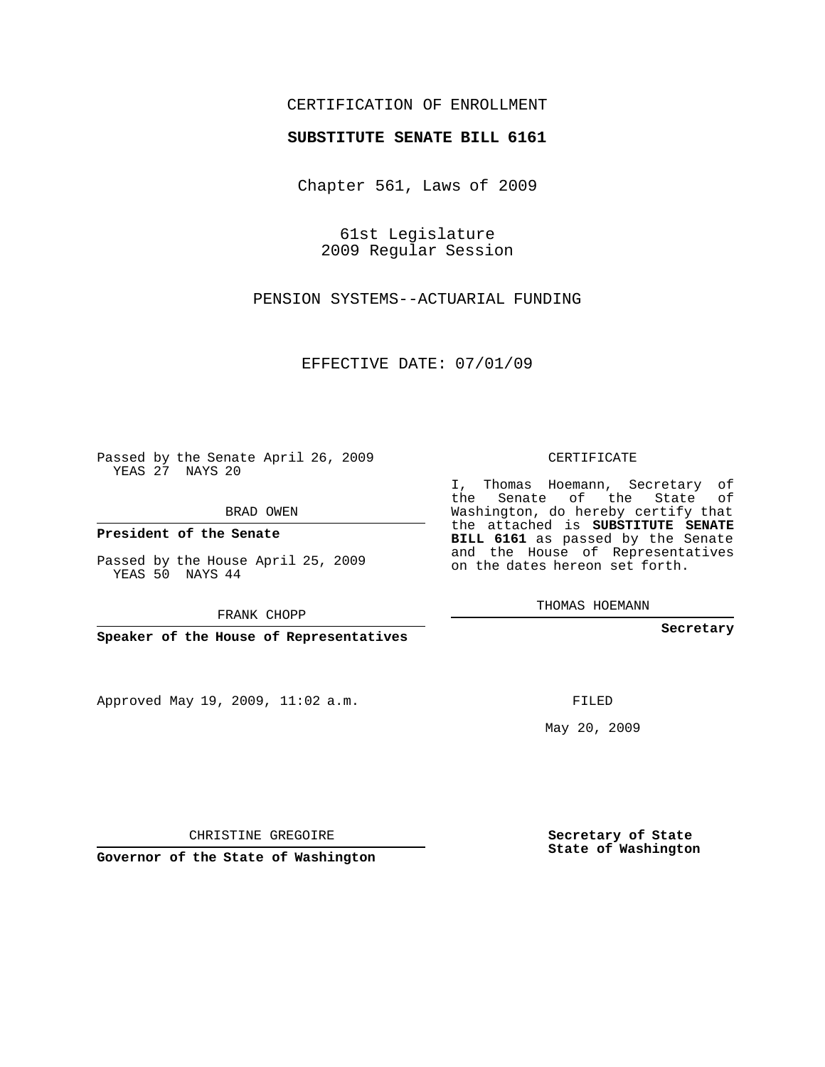## CERTIFICATION OF ENROLLMENT

## **SUBSTITUTE SENATE BILL 6161**

Chapter 561, Laws of 2009

61st Legislature 2009 Regular Session

PENSION SYSTEMS--ACTUARIAL FUNDING

EFFECTIVE DATE: 07/01/09

Passed by the Senate April 26, 2009 YEAS 27 NAYS 20

BRAD OWEN

**President of the Senate**

Passed by the House April 25, 2009 YEAS 50 NAYS 44

FRANK CHOPP

**Speaker of the House of Representatives**

Approved May 19, 2009, 11:02 a.m.

CERTIFICATE

I, Thomas Hoemann, Secretary of the Senate of the State of Washington, do hereby certify that the attached is **SUBSTITUTE SENATE BILL 6161** as passed by the Senate and the House of Representatives on the dates hereon set forth.

THOMAS HOEMANN

**Secretary**

FILED

May 20, 2009

**Secretary of State State of Washington**

CHRISTINE GREGOIRE

**Governor of the State of Washington**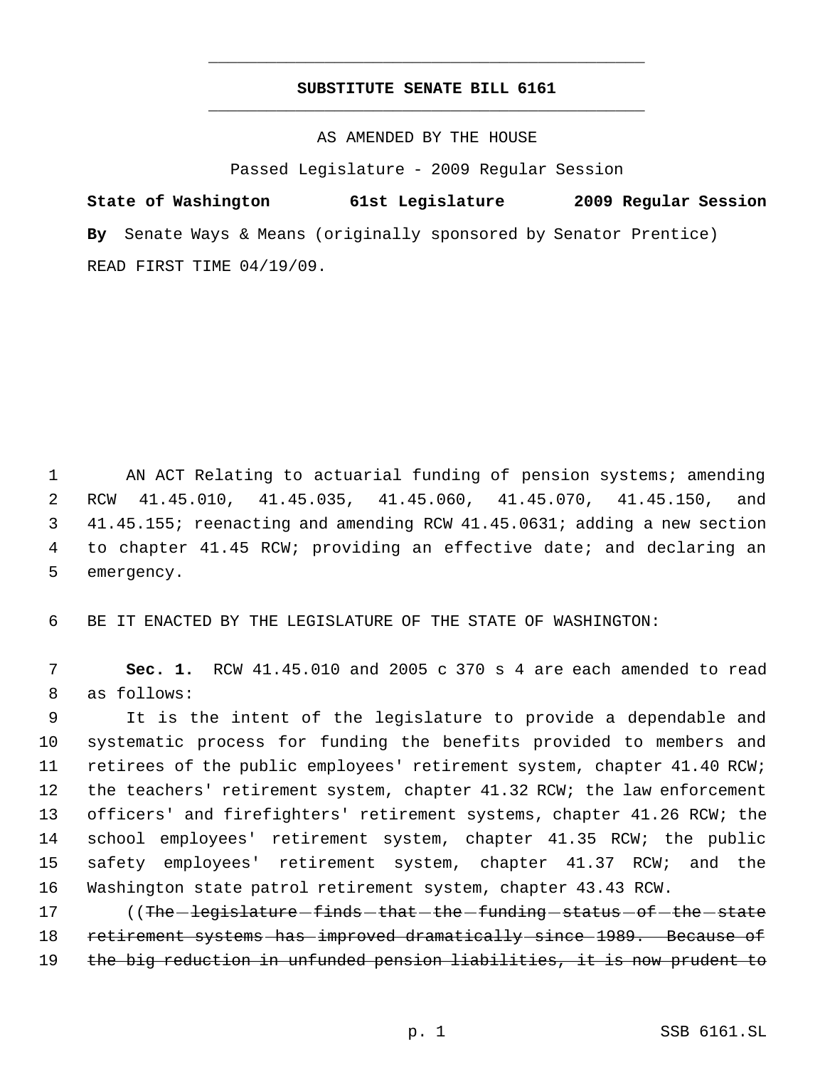## **SUBSTITUTE SENATE BILL 6161** \_\_\_\_\_\_\_\_\_\_\_\_\_\_\_\_\_\_\_\_\_\_\_\_\_\_\_\_\_\_\_\_\_\_\_\_\_\_\_\_\_\_\_\_\_

\_\_\_\_\_\_\_\_\_\_\_\_\_\_\_\_\_\_\_\_\_\_\_\_\_\_\_\_\_\_\_\_\_\_\_\_\_\_\_\_\_\_\_\_\_

AS AMENDED BY THE HOUSE

Passed Legislature - 2009 Regular Session

**State of Washington 61st Legislature 2009 Regular Session By** Senate Ways & Means (originally sponsored by Senator Prentice) READ FIRST TIME 04/19/09.

1 AN ACT Relating to actuarial funding of pension systems; amending RCW 41.45.010, 41.45.035, 41.45.060, 41.45.070, 41.45.150, and 41.45.155; reenacting and amending RCW 41.45.0631; adding a new section to chapter 41.45 RCW; providing an effective date; and declaring an emergency.

6 BE IT ENACTED BY THE LEGISLATURE OF THE STATE OF WASHINGTON:

 7 **Sec. 1.** RCW 41.45.010 and 2005 c 370 s 4 are each amended to read 8 as follows:

 It is the intent of the legislature to provide a dependable and systematic process for funding the benefits provided to members and retirees of the public employees' retirement system, chapter 41.40 RCW; the teachers' retirement system, chapter 41.32 RCW; the law enforcement officers' and firefighters' retirement systems, chapter 41.26 RCW; the school employees' retirement system, chapter 41.35 RCW; the public safety employees' retirement system, chapter 41.37 RCW; and the Washington state patrol retirement system, chapter 43.43 RCW.

17 ((The legislature finds that the funding status of the state 18 retirement systems has improved dramatically since 1989. Because of 19 the big reduction in unfunded pension liabilities, it is now prudent to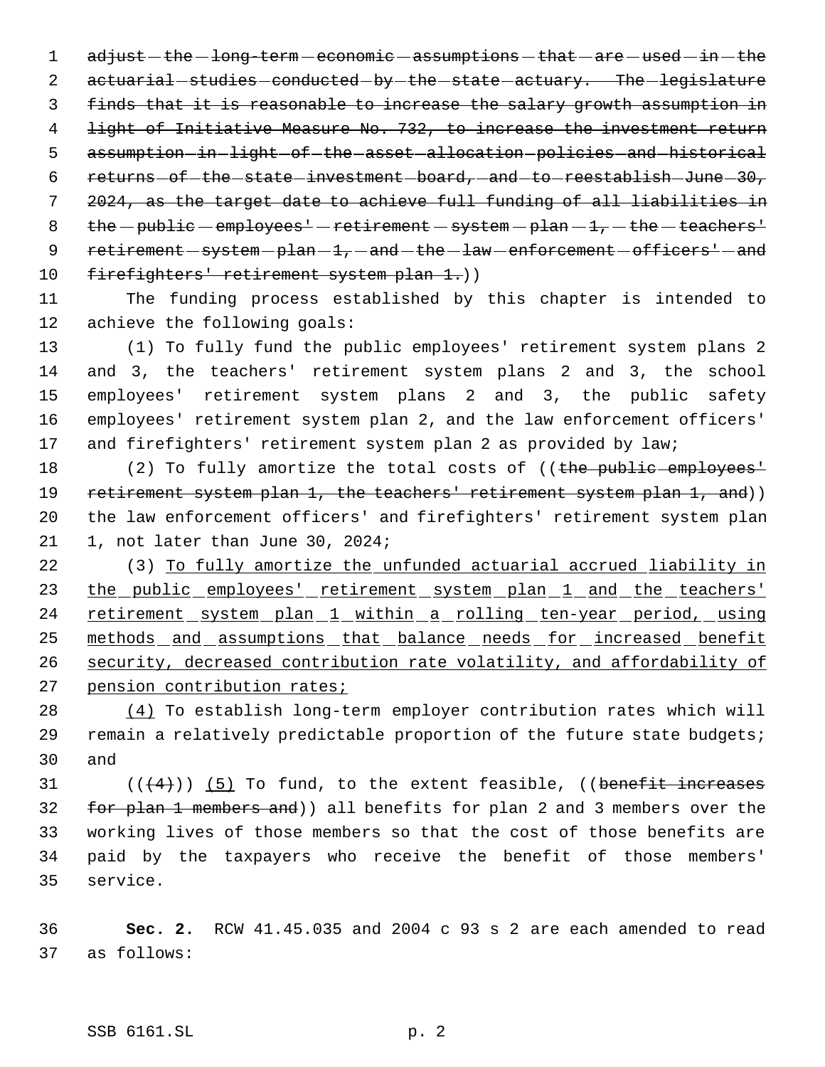1 adjust - the - long-term - economic - assumptions - that - are - used - in - the 2 actuarial studies conducted - by - the - state - actuary. The - legislature 3 finds that it is reasonable to increase the salary growth assumption in 4 light of Initiative Measure No. 732, to increase the investment return 5 assumption in light of the asset allocation policies and historical 6 returns - of - the - state - investment - board, - and - to - reestablish - June - 30, 7 2024, as the target date to achieve full funding of all liabilities in 8 the  $-pubble$  employees' - retirement - system  $-plan - 1$ ,  $-$  the  $-$  teachers' 9 retirement - system - plan - 1, - and - the - law - enforcement - officers' - and 10 firefighters' retirement system plan 1.))

11 The funding process established by this chapter is intended to 12 achieve the following goals:

 (1) To fully fund the public employees' retirement system plans 2 and 3, the teachers' retirement system plans 2 and 3, the school employees' retirement system plans 2 and 3, the public safety employees' retirement system plan 2, and the law enforcement officers' 17 and firefighters' retirement system plan 2 as provided by law;

18 (2) To fully amortize the total costs of ((the public employees' 19 retirement system plan 1, the teachers' retirement system plan 1, and)) 20 the law enforcement officers' and firefighters' retirement system plan 21 1, not later than June 30, 2024;

22 (3) To fully amortize the unfunded actuarial accrued liability in 23 the public employees' retirement system plan 1 and the teachers' 24 retirement system plan 1 within a rolling ten-year period, using 25 methods and assumptions that balance needs for increased benefit 26 security, decreased contribution rate volatility, and affordability of 27 pension contribution rates;

28 (4) To establish long-term employer contribution rates which will 29 remain a relatively predictable proportion of the future state budgets; 30 and

31  $((\langle 4 \rangle) )$  (5) To fund, to the extent feasible, ((benefit increases 32 for plan 1 members and)) all benefits for plan 2 and 3 members over the 33 working lives of those members so that the cost of those benefits are 34 paid by the taxpayers who receive the benefit of those members' 35 service.

36 **Sec. 2.** RCW 41.45.035 and 2004 c 93 s 2 are each amended to read 37 as follows: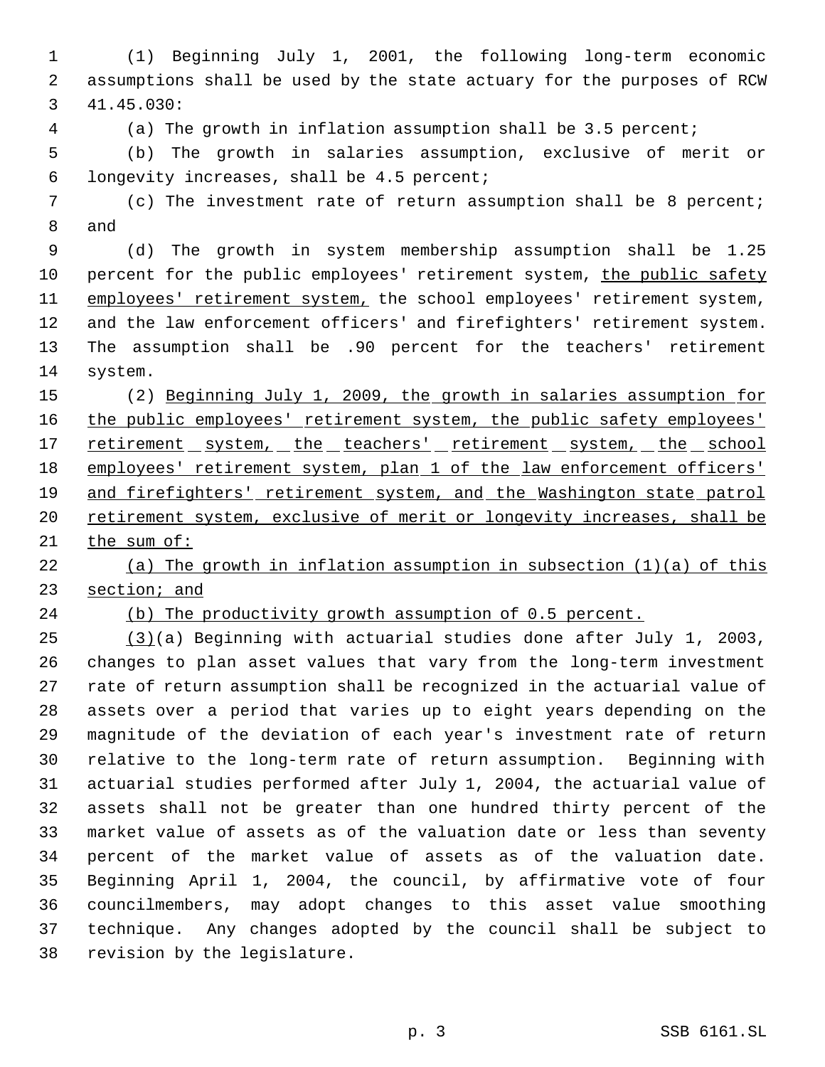(1) Beginning July 1, 2001, the following long-term economic assumptions shall be used by the state actuary for the purposes of RCW 41.45.030:

(a) The growth in inflation assumption shall be 3.5 percent;

 (b) The growth in salaries assumption, exclusive of merit or longevity increases, shall be 4.5 percent;

 (c) The investment rate of return assumption shall be 8 percent; and

 (d) The growth in system membership assumption shall be 1.25 percent for the public employees' retirement system, the public safety 11 employees' retirement system, the school employees' retirement system, and the law enforcement officers' and firefighters' retirement system. The assumption shall be .90 percent for the teachers' retirement system.

 (2) Beginning July 1, 2009, the growth in salaries assumption for 16 the public employees' retirement system, the public safety employees' 17 retirement system, the teachers' retirement system, the school 18 employees' retirement system, plan 1 of the law enforcement officers' 19 and firefighters' retirement system, and the Washington state patrol 20 retirement system, exclusive of merit or longevity increases, shall be the sum of:

 (a) The growth in inflation assumption in subsection (1)(a) of this section; and

(b) The productivity growth assumption of 0.5 percent.

 (3)(a) Beginning with actuarial studies done after July 1, 2003, changes to plan asset values that vary from the long-term investment rate of return assumption shall be recognized in the actuarial value of assets over a period that varies up to eight years depending on the magnitude of the deviation of each year's investment rate of return relative to the long-term rate of return assumption. Beginning with actuarial studies performed after July 1, 2004, the actuarial value of assets shall not be greater than one hundred thirty percent of the market value of assets as of the valuation date or less than seventy percent of the market value of assets as of the valuation date. Beginning April 1, 2004, the council, by affirmative vote of four councilmembers, may adopt changes to this asset value smoothing technique. Any changes adopted by the council shall be subject to revision by the legislature.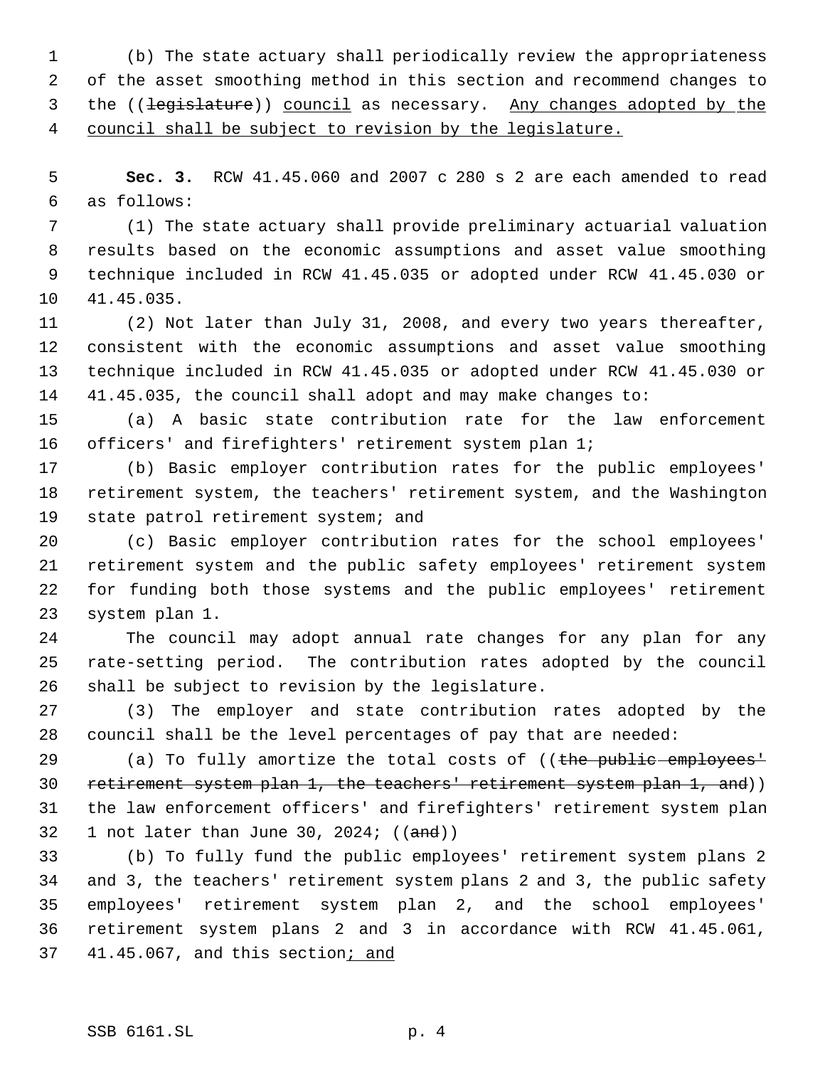(b) The state actuary shall periodically review the appropriateness of the asset smoothing method in this section and recommend changes to 3 the ((legislature)) council as necessary. Any changes adopted by the council shall be subject to revision by the legislature.

 **Sec. 3.** RCW 41.45.060 and 2007 c 280 s 2 are each amended to read as follows:

 (1) The state actuary shall provide preliminary actuarial valuation results based on the economic assumptions and asset value smoothing technique included in RCW 41.45.035 or adopted under RCW 41.45.030 or 41.45.035.

 (2) Not later than July 31, 2008, and every two years thereafter, consistent with the economic assumptions and asset value smoothing technique included in RCW 41.45.035 or adopted under RCW 41.45.030 or 41.45.035, the council shall adopt and may make changes to:

 (a) A basic state contribution rate for the law enforcement 16 officers' and firefighters' retirement system plan 1;

 (b) Basic employer contribution rates for the public employees' retirement system, the teachers' retirement system, and the Washington 19 state patrol retirement system; and

 (c) Basic employer contribution rates for the school employees' retirement system and the public safety employees' retirement system for funding both those systems and the public employees' retirement system plan 1.

 The council may adopt annual rate changes for any plan for any rate-setting period. The contribution rates adopted by the council shall be subject to revision by the legislature.

 (3) The employer and state contribution rates adopted by the council shall be the level percentages of pay that are needed:

29 (a) To fully amortize the total costs of ((the public employees<sup>1</sup> 30 retirement system plan 1, the teachers' retirement system plan 1, and)) the law enforcement officers' and firefighters' retirement system plan 32 1 not later than June 30, 2024;  $((and))$ 

 (b) To fully fund the public employees' retirement system plans 2 and 3, the teachers' retirement system plans 2 and 3, the public safety employees' retirement system plan 2, and the school employees' retirement system plans 2 and 3 in accordance with RCW 41.45.061, 37 41.45.067, and this section; and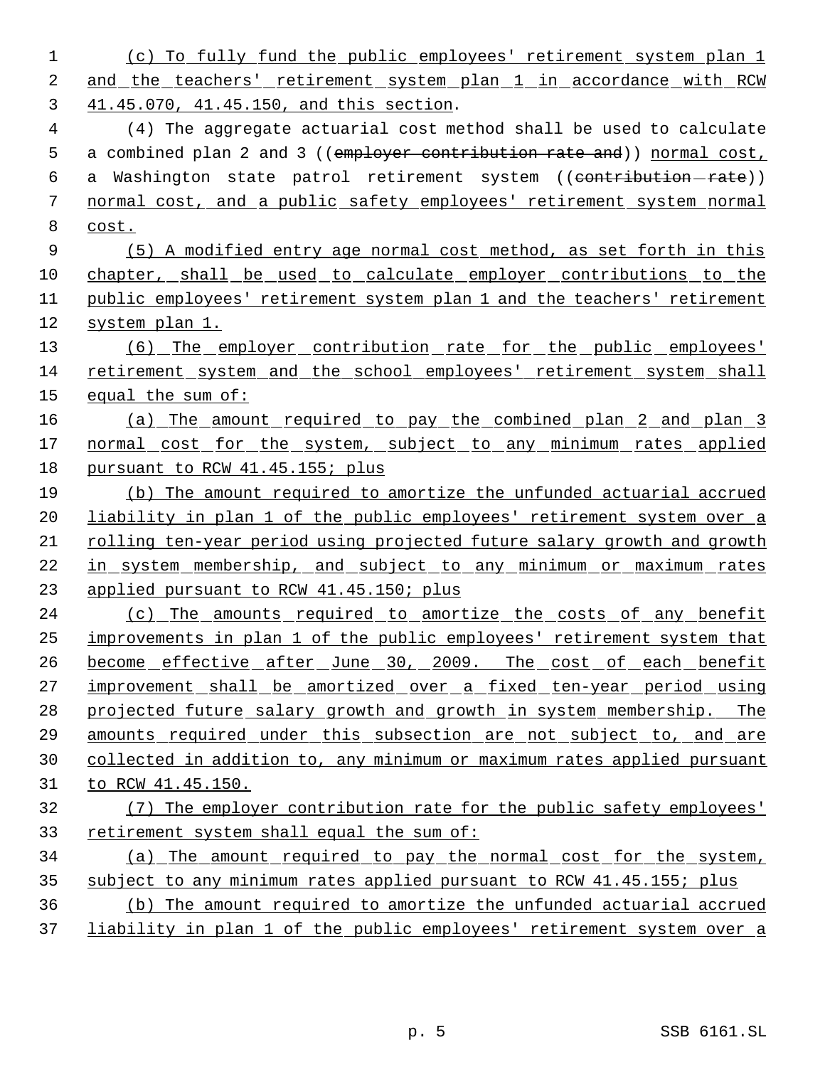(c) To fully fund the public employees' retirement system plan 1 and the teachers' retirement system plan 1 in accordance with RCW 41.45.070, 41.45.150, and this section. (4) The aggregate actuarial cost method shall be used to calculate 5 a combined plan 2 and 3 ((employer contribution rate and)) normal cost, 6 a Washington state patrol retirement system ((contribution-rate)) normal cost, and a public safety employees' retirement system normal cost. (5) A modified entry age normal cost method, as set forth in this chapter, shall be used to calculate employer contributions to the public employees' retirement system plan 1 and the teachers' retirement system plan 1. 13 (6) The employer contribution rate for the public employees' retirement system and the school employees' retirement system shall equal the sum of: (a) The amount required to pay the combined plan 2 and plan 3 17 normal cost for the system, subject to any minimum rates applied pursuant to RCW 41.45.155; plus (b) The amount required to amortize the unfunded actuarial accrued 20 liability in plan 1 of the public employees' retirement system over a rolling ten-year period using projected future salary growth and growth in system membership, and subject to any minimum or maximum rates applied pursuant to RCW 41.45.150; plus 24 (c) The amounts required to amortize the costs of any benefit improvements in plan 1 of the public employees' retirement system that 26 become effective after June 30, 2009. The cost of each benefit 27 improvement shall be amortized over a fixed ten-year period using projected future salary growth and growth in system membership. The amounts required under this subsection are not subject to, and are collected in addition to, any minimum or maximum rates applied pursuant to RCW 41.45.150. (7) The employer contribution rate for the public safety employees' retirement system shall equal the sum of: (a) The amount required to pay the normal cost for the system, 35 subject to any minimum rates applied pursuant to RCW 41.45.155; plus (b) The amount required to amortize the unfunded actuarial accrued 37 liability in plan 1 of the public employees' retirement system over a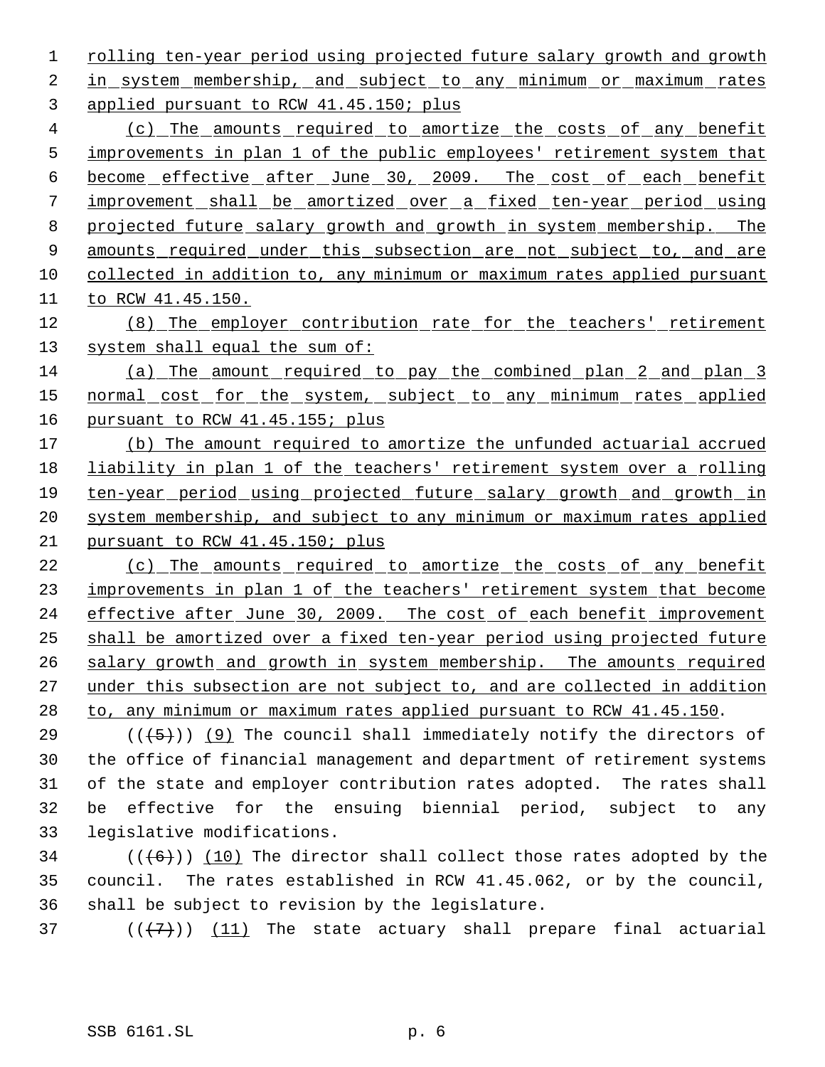1 rolling ten-year period using projected future salary growth and growth 2 in system membership, and subject to any minimum or maximum rates 3 applied pursuant to RCW 41.45.150; plus

 (c) The amounts required to amortize the costs of any benefit 5 improvements in plan 1 of the public employees' retirement system that become effective after June 30, 2009. The cost of each benefit improvement shall be amortized over a fixed ten-year period using 8 projected future salary growth and growth in system membership. The 9 amounts required under this subsection are not subject to, and are collected in addition to, any minimum or maximum rates applied pursuant to RCW 41.45.150.

12 (8) The employer contribution rate for the teachers' retirement 13 system shall equal the sum of:

14 (a) The amount required to pay the combined plan 2 and plan 3 15 normal cost for the system, subject to any minimum rates applied 16 pursuant to RCW 41.45.155; plus

 (b) The amount required to amortize the unfunded actuarial accrued 18 liability in plan 1 of the teachers' retirement system over a rolling ten-year period using projected future salary growth and growth in system membership, and subject to any minimum or maximum rates applied pursuant to RCW 41.45.150; plus

22 (c) The amounts required to amortize the costs of any benefit 23 improvements in plan 1 of the teachers' retirement system that become 24 effective after June 30, 2009. The cost of each benefit improvement 25 shall be amortized over a fixed ten-year period using projected future 26 salary growth and growth in system membership. The amounts required 27 under this subsection are not subject to, and are collected in addition 28 to, any minimum or maximum rates applied pursuant to RCW 41.45.150.

 $((+5))$  (9) The council shall immediately notify the directors of the office of financial management and department of retirement systems of the state and employer contribution rates adopted. The rates shall be effective for the ensuing biennial period, subject to any legislative modifications.

 $34$  (( $(6)$ )) (10) The director shall collect those rates adopted by the 35 council. The rates established in RCW 41.45.062, or by the council, 36 shall be subject to revision by the legislature.

37  $((+7)^{n})$   $(11)$  The state actuary shall prepare final actuarial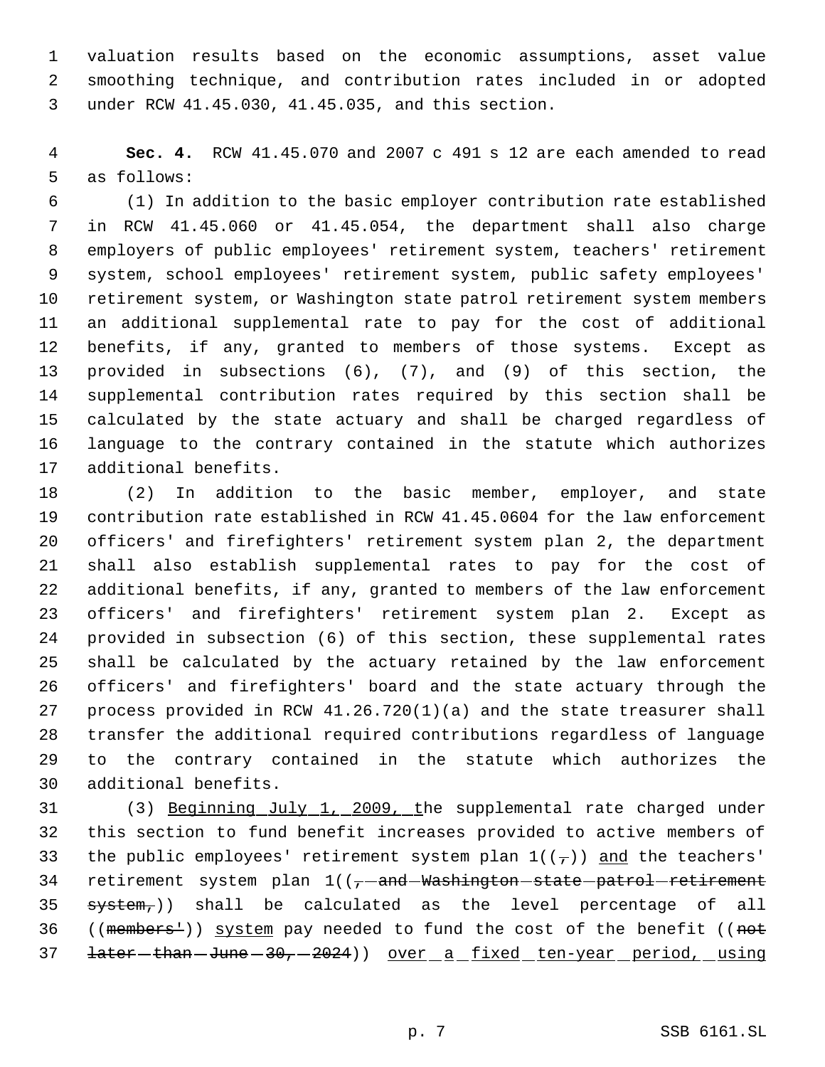valuation results based on the economic assumptions, asset value smoothing technique, and contribution rates included in or adopted under RCW 41.45.030, 41.45.035, and this section.

 **Sec. 4.** RCW 41.45.070 and 2007 c 491 s 12 are each amended to read as follows:

 (1) In addition to the basic employer contribution rate established in RCW 41.45.060 or 41.45.054, the department shall also charge employers of public employees' retirement system, teachers' retirement system, school employees' retirement system, public safety employees' retirement system, or Washington state patrol retirement system members an additional supplemental rate to pay for the cost of additional benefits, if any, granted to members of those systems. Except as provided in subsections (6), (7), and (9) of this section, the supplemental contribution rates required by this section shall be calculated by the state actuary and shall be charged regardless of language to the contrary contained in the statute which authorizes additional benefits.

 (2) In addition to the basic member, employer, and state contribution rate established in RCW 41.45.0604 for the law enforcement officers' and firefighters' retirement system plan 2, the department shall also establish supplemental rates to pay for the cost of additional benefits, if any, granted to members of the law enforcement officers' and firefighters' retirement system plan 2. Except as provided in subsection (6) of this section, these supplemental rates shall be calculated by the actuary retained by the law enforcement officers' and firefighters' board and the state actuary through the process provided in RCW 41.26.720(1)(a) and the state treasurer shall transfer the additional required contributions regardless of language to the contrary contained in the statute which authorizes the additional benefits.

 (3) Beginning July 1, 2009, the supplemental rate charged under this section to fund benefit increases provided to active members of 33 the public employees' retirement system plan  $1((7))$  and the teachers' 34 retirement system plan  $1/(-1)$  and Washington state patrol retirement system,)) shall be calculated as the level percentage of all ((members')) system pay needed to fund the cost of the benefit ((not 37 <del>later - than - June - 30, - 2024</del>) ) over a fixed ten-year period, using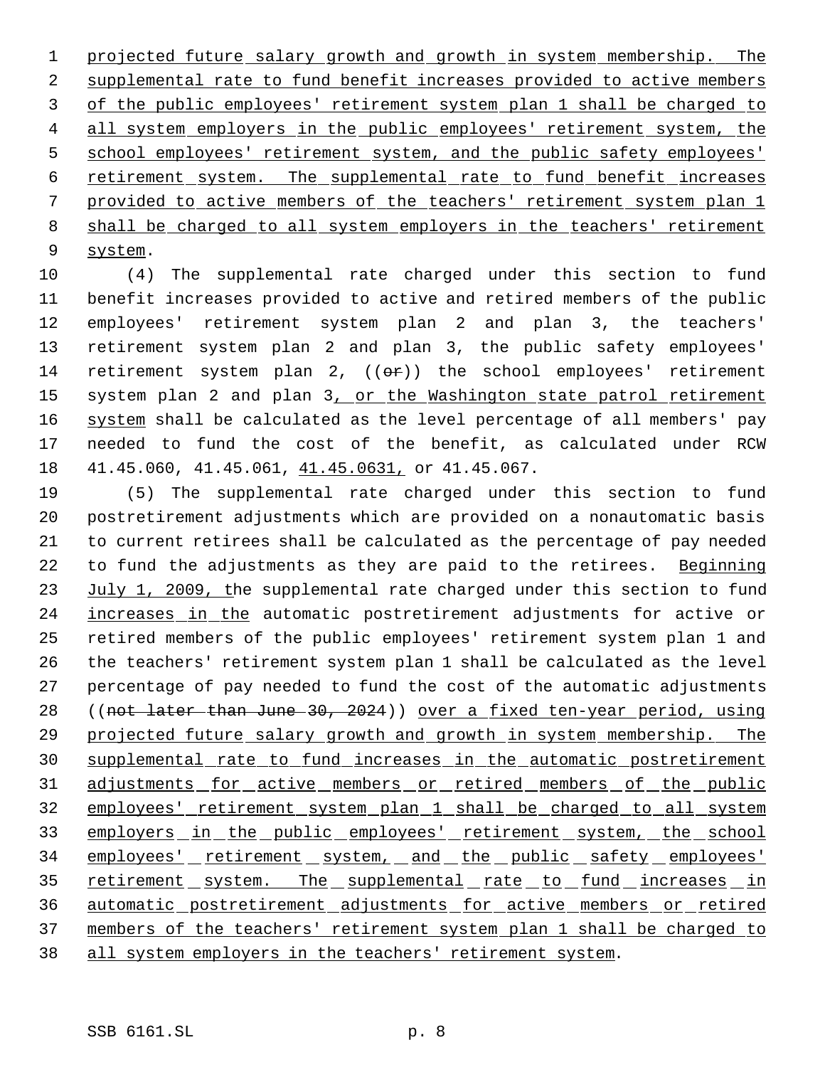1 projected future salary growth and growth in system membership. The 2 supplemental rate to fund benefit increases provided to active members 3 of the public employees' retirement system plan 1 shall be charged to 4 all system employers in the public employees' retirement system, the 5 school employees' retirement system, and the public safety employees' 6 retirement system. The supplemental rate to fund benefit increases 7 provided to active members of the teachers' retirement system plan 1 8 shall be charged to all system employers in the teachers' retirement 9 system.

 (4) The supplemental rate charged under this section to fund benefit increases provided to active and retired members of the public employees' retirement system plan 2 and plan 3, the teachers' retirement system plan 2 and plan 3, the public safety employees' 14 retirement system plan 2,  $((e^{\pi}))$  the school employees' retirement 15 system plan 2 and plan 3, or the Washington state patrol retirement 16 system shall be calculated as the level percentage of all members' pay needed to fund the cost of the benefit, as calculated under RCW 41.45.060, 41.45.061, 41.45.0631, or 41.45.067.

19 (5) The supplemental rate charged under this section to fund 20 postretirement adjustments which are provided on a nonautomatic basis 21 to current retirees shall be calculated as the percentage of pay needed 22 to fund the adjustments as they are paid to the retirees. Beginning 23 July 1, 2009, the supplemental rate charged under this section to fund 24 increases in the automatic postretirement adjustments for active or 25 retired members of the public employees' retirement system plan 1 and 26 the teachers' retirement system plan 1 shall be calculated as the level 27 percentage of pay needed to fund the cost of the automatic adjustments 28 ((not later than June 30, 2024)) over a fixed ten-year period, using 29 projected future salary growth and growth in system membership. The 30 supplemental rate to fund increases in the automatic postretirement 31 adjustments for active members or retired members of the public 32 employees' retirement system plan 1 shall be charged to all system 33 employers in the public employees' retirement system, the school 34 employees' retirement system, and the public safety employees' 35 retirement system. The supplemental rate to fund increases in 36 automatic postretirement adjustments for active members or retired 37 members of the teachers' retirement system plan 1 shall be charged to 38 all system employers in the teachers' retirement system.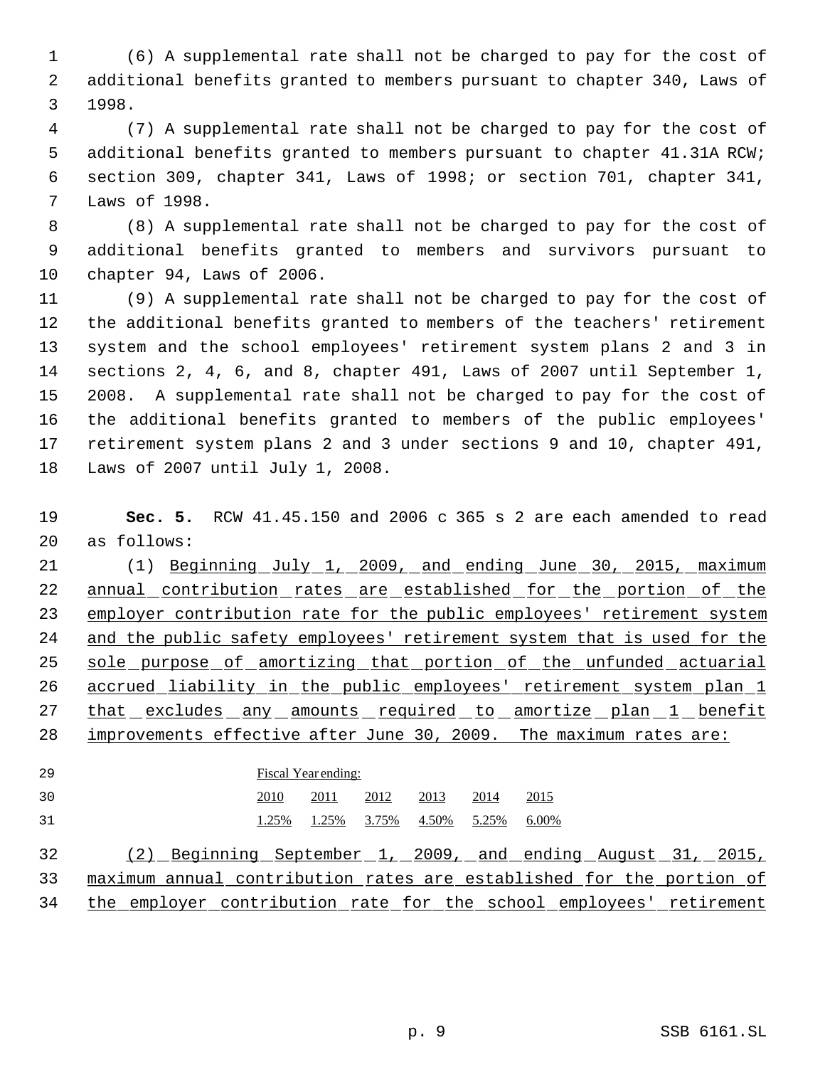(6) A supplemental rate shall not be charged to pay for the cost of additional benefits granted to members pursuant to chapter 340, Laws of 1998.

 (7) A supplemental rate shall not be charged to pay for the cost of additional benefits granted to members pursuant to chapter 41.31A RCW; section 309, chapter 341, Laws of 1998; or section 701, chapter 341, Laws of 1998.

 (8) A supplemental rate shall not be charged to pay for the cost of additional benefits granted to members and survivors pursuant to chapter 94, Laws of 2006.

 (9) A supplemental rate shall not be charged to pay for the cost of the additional benefits granted to members of the teachers' retirement system and the school employees' retirement system plans 2 and 3 in sections 2, 4, 6, and 8, chapter 491, Laws of 2007 until September 1, 2008. A supplemental rate shall not be charged to pay for the cost of the additional benefits granted to members of the public employees' retirement system plans 2 and 3 under sections 9 and 10, chapter 491, Laws of 2007 until July 1, 2008.

 **Sec. 5.** RCW 41.45.150 and 2006 c 365 s 2 are each amended to read as follows:

21 (1) Beginning July 1, 2009, and ending June 30, 2015, maximum 22 annual contribution rates are established for the portion of the 23 employer contribution rate for the public employees' retirement system and the public safety employees' retirement system that is used for the 25 sole purpose of amortizing that portion of the unfunded actuarial 26 accrued liability in the public employees' retirement system plan 1 27 that excludes any amounts required to amortize plan 1 benefit improvements effective after June 30, 2009. The maximum rates are:

 Fiscal Year ending: 2010 2011 2012 2013 2014 2015 1.25% 1.25% 3.75% 4.50% 5.25% 6.00%

 (2) Beginning September 1, 2009, and ending August 31, 2015, maximum annual contribution rates are established for the portion of the employer contribution rate for the school employees' retirement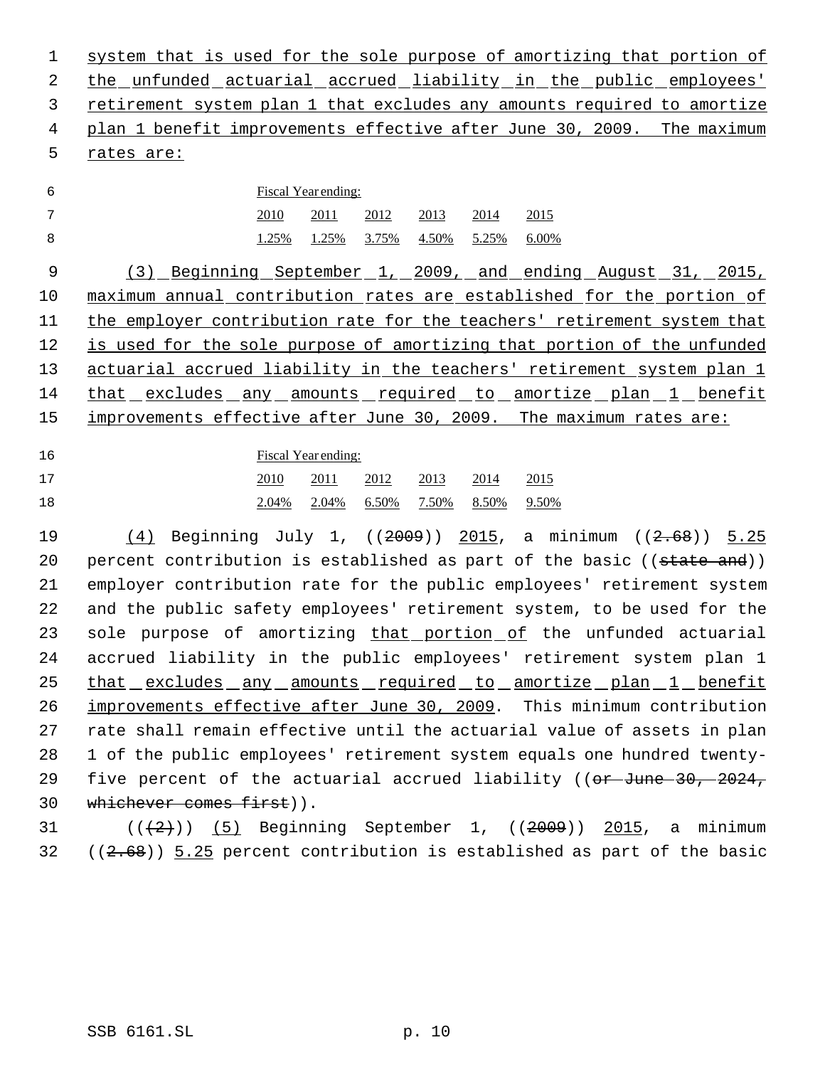system that is used for the sole purpose of amortizing that portion of 2 the unfunded actuarial accrued liability in the public employees' retirement system plan 1 that excludes any amounts required to amortize plan 1 benefit improvements effective after June 30, 2009. The maximum rates are:

## Fiscal Year ending: 2010 2011 2012 2013 2014 2015 1.25% 1.25% 3.75% 4.50% 5.25% 6.00%

 (3) Beginning September 1, 2009, and ending August 31, 2015, maximum annual contribution rates are established for the portion of the employer contribution rate for the teachers' retirement system that is used for the sole purpose of amortizing that portion of the unfunded actuarial accrued liability in the teachers' retirement system plan 1 that excludes any amounts required to amortize plan 1 benefit improvements effective after June 30, 2009. The maximum rates are:

Fiscal Year ending:

| 17 | $\frac{2010}{2011}$ $\frac{2012}{2012}$ $\frac{2013}{2014}$ $\frac{2014}{2015}$ |  |  |
|----|---------------------------------------------------------------------------------|--|--|
| 18 | 2.04% 2.04% 6.50% 7.50% 8.50% 9.50%                                             |  |  |

 (4) Beginning July 1, ((2009)) 2015, a minimum ((2.68)) 5.25 20 percent contribution is established as part of the basic ((state and)) employer contribution rate for the public employees' retirement system and the public safety employees' retirement system, to be used for the 23 sole purpose of amortizing that portion of the unfunded actuarial accrued liability in the public employees' retirement system plan 1 25 that excludes any amounts required to amortize plan 1 benefit improvements effective after June 30, 2009. This minimum contribution rate shall remain effective until the actuarial value of assets in plan 1 of the public employees' retirement system equals one hundred twenty-29 five percent of the actuarial accrued liability (( $or$ -June 30, 2024, whichever comes first)).

31  $((2+))$  (5) Beginning September 1,  $((2009))$  2015, a minimum ((2.68)) 5.25 percent contribution is established as part of the basic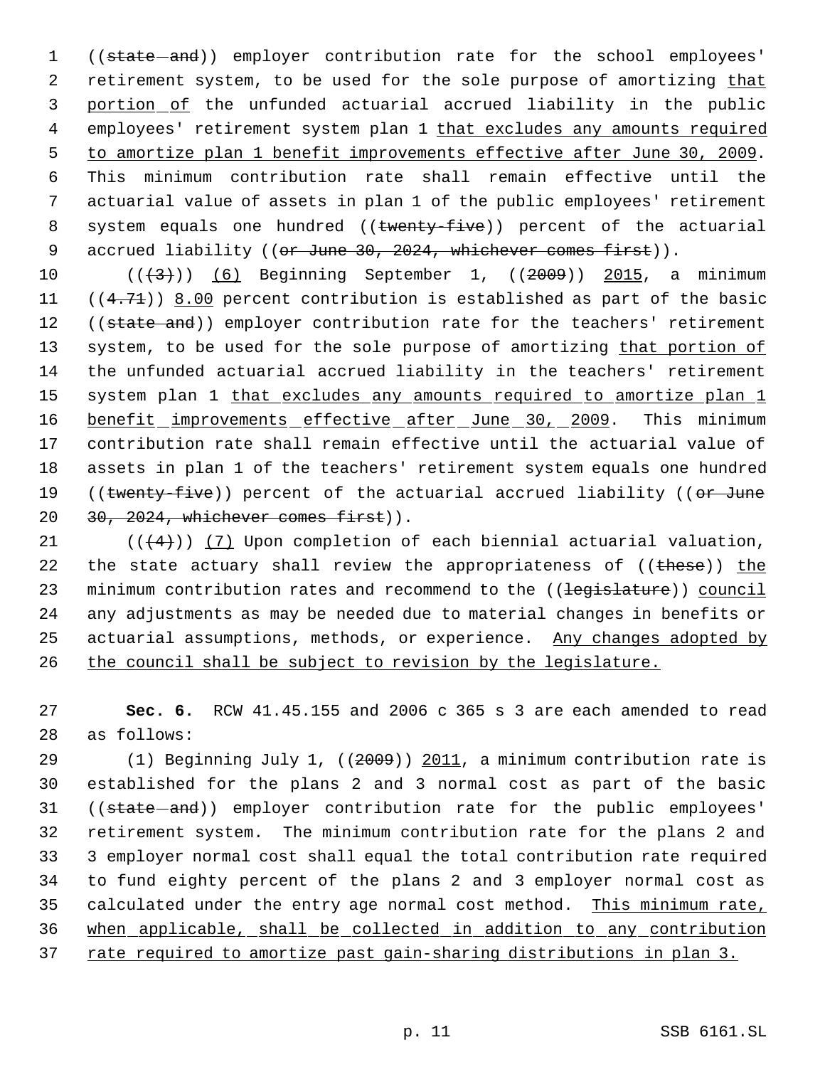1 ((state-and)) employer contribution rate for the school employees' 2 retirement system, to be used for the sole purpose of amortizing that 3 portion of the unfunded actuarial accrued liability in the public 4 employees' retirement system plan 1 that excludes any amounts required 5 to amortize plan 1 benefit improvements effective after June 30, 2009. 6 This minimum contribution rate shall remain effective until the 7 actuarial value of assets in plan 1 of the public employees' retirement 8 system equals one hundred ((twenty-five)) percent of the actuarial 9 accrued liability ((or June 30, 2024, whichever comes first)).

10  $((\left\langle 3\right\rangle))$  (6) Beginning September 1,  $((2009))$  2015, a minimum 11  $((4.71))$  8.00 percent contribution is established as part of the basic 12 ((state and)) employer contribution rate for the teachers' retirement 13 system, to be used for the sole purpose of amortizing that portion of 14 the unfunded actuarial accrued liability in the teachers' retirement 15 system plan 1 that excludes any amounts required to amortize plan 1 16 benefit improvements effective after June 30, 2009. This minimum 17 contribution rate shall remain effective until the actuarial value of 18 assets in plan 1 of the teachers' retirement system equals one hundred 19 ((twenty-five)) percent of the actuarial accrued liability ((or June 20 30, 2024, whichever comes first)).

21  $((4+))$  (7) Upon completion of each biennial actuarial valuation, 22 the state actuary shall review the appropriateness of ((these)) the 23 minimum contribution rates and recommend to the ((legislature)) council 24 any adjustments as may be needed due to material changes in benefits or 25 actuarial assumptions, methods, or experience. Any changes adopted by 26 the council shall be subject to revision by the legislature.

27 **Sec. 6.** RCW 41.45.155 and 2006 c 365 s 3 are each amended to read 28 as follows:

29 (1) Beginning July 1, ((2009)) 2011, a minimum contribution rate is 30 established for the plans 2 and 3 normal cost as part of the basic 31 ((state-and)) employer contribution rate for the public employees' 32 retirement system. The minimum contribution rate for the plans 2 and 33 3 employer normal cost shall equal the total contribution rate required 34 to fund eighty percent of the plans 2 and 3 employer normal cost as 35 calculated under the entry age normal cost method. This minimum rate, 36 when applicable, shall be collected in addition to any contribution 37 rate required to amortize past gain-sharing distributions in plan 3.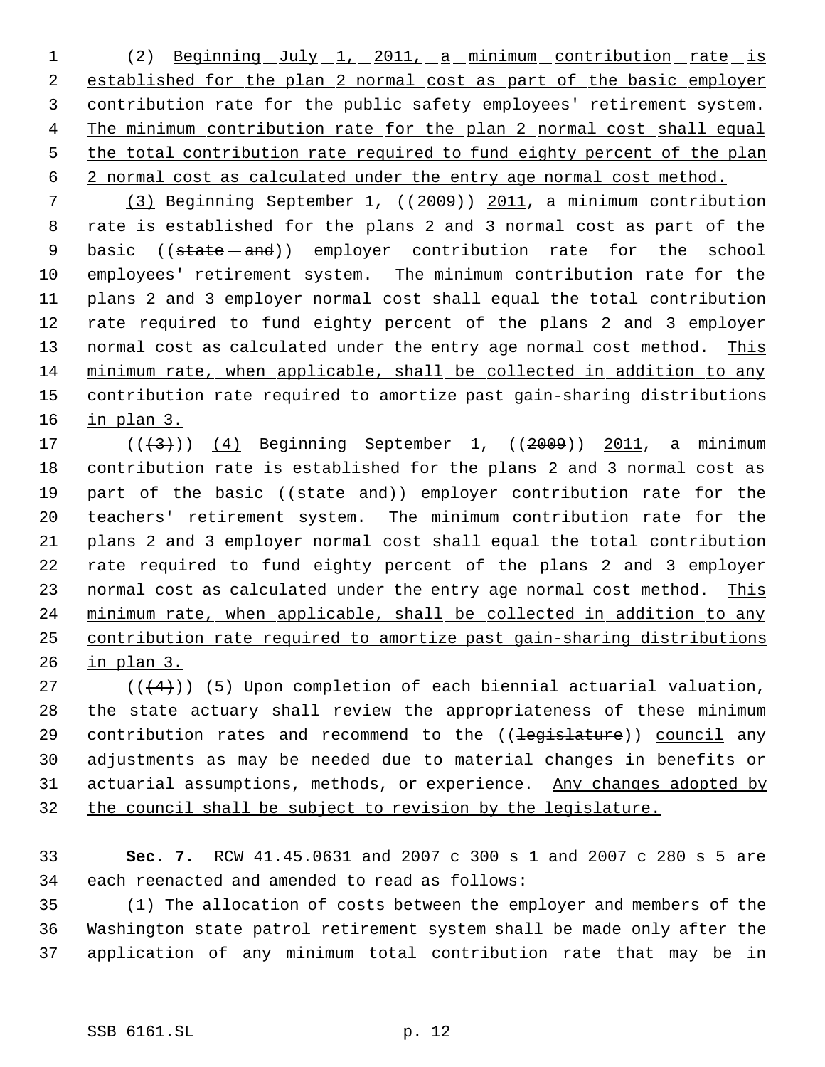1 (2) Beginning July 1, 2011, a minimum contribution rate is 2 established for the plan 2 normal cost as part of the basic employer contribution rate for the public safety employees' retirement system. 4 The minimum contribution rate for the plan 2 normal cost shall equal the total contribution rate required to fund eighty percent of the plan 2 normal cost as calculated under the entry age normal cost method.

 (3) Beginning September 1, ((2009)) 2011, a minimum contribution rate is established for the plans 2 and 3 normal cost as part of the 9 basic ((state - and)) employer contribution rate for the school employees' retirement system. The minimum contribution rate for the plans 2 and 3 employer normal cost shall equal the total contribution rate required to fund eighty percent of the plans 2 and 3 employer 13 normal cost as calculated under the entry age normal cost method. This minimum rate, when applicable, shall be collected in addition to any contribution rate required to amortize past gain-sharing distributions in plan 3.

17 (((3)) (4) Beginning September 1, ((2009)) 2011, a minimum contribution rate is established for the plans 2 and 3 normal cost as 19 part of the basic ((state-and)) employer contribution rate for the teachers' retirement system. The minimum contribution rate for the plans 2 and 3 employer normal cost shall equal the total contribution rate required to fund eighty percent of the plans 2 and 3 employer 23 normal cost as calculated under the entry age normal cost method. This minimum rate, when applicable, shall be collected in addition to any contribution rate required to amortize past gain-sharing distributions in plan 3.

 $((+4))$  (5) Upon completion of each biennial actuarial valuation, the state actuary shall review the appropriateness of these minimum 29 contribution rates and recommend to the ((legislature)) council any adjustments as may be needed due to material changes in benefits or 31 actuarial assumptions, methods, or experience. Any changes adopted by the council shall be subject to revision by the legislature.

 **Sec. 7.** RCW 41.45.0631 and 2007 c 300 s 1 and 2007 c 280 s 5 are each reenacted and amended to read as follows:

 (1) The allocation of costs between the employer and members of the Washington state patrol retirement system shall be made only after the application of any minimum total contribution rate that may be in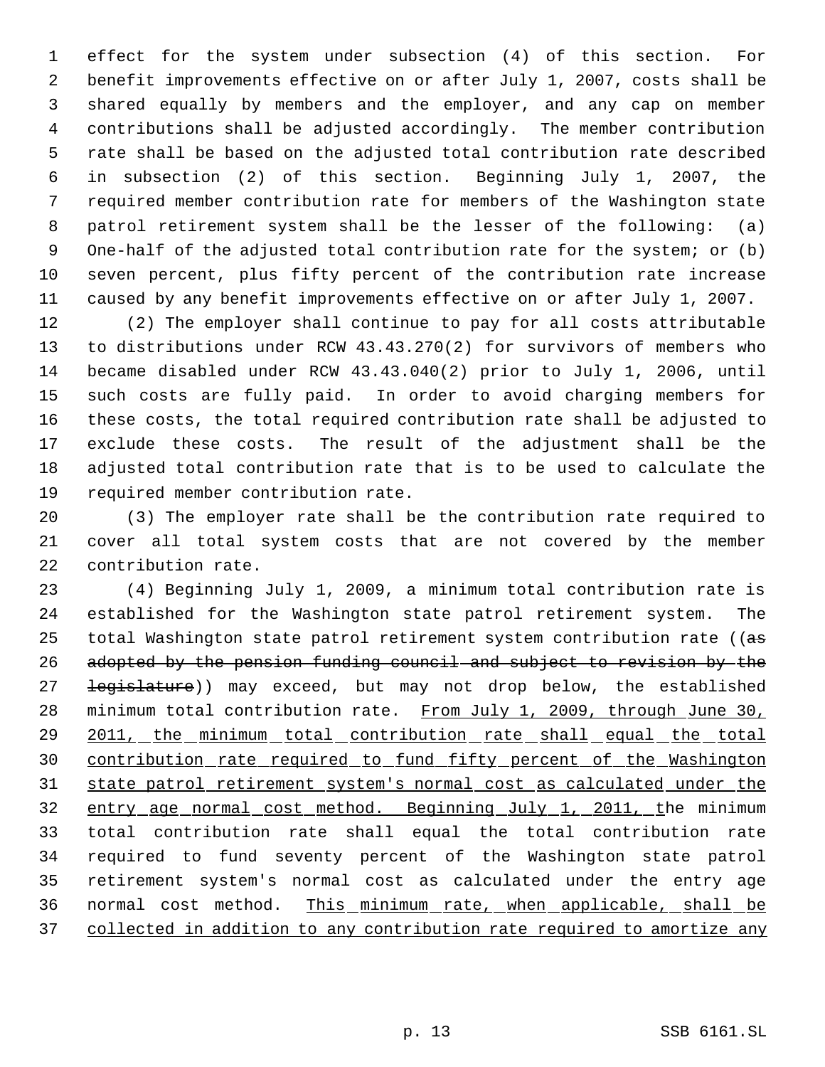effect for the system under subsection (4) of this section. For benefit improvements effective on or after July 1, 2007, costs shall be shared equally by members and the employer, and any cap on member contributions shall be adjusted accordingly. The member contribution rate shall be based on the adjusted total contribution rate described in subsection (2) of this section. Beginning July 1, 2007, the required member contribution rate for members of the Washington state patrol retirement system shall be the lesser of the following: (a) 9 One-half of the adjusted total contribution rate for the system; or (b) seven percent, plus fifty percent of the contribution rate increase caused by any benefit improvements effective on or after July 1, 2007.

 (2) The employer shall continue to pay for all costs attributable to distributions under RCW 43.43.270(2) for survivors of members who became disabled under RCW 43.43.040(2) prior to July 1, 2006, until such costs are fully paid. In order to avoid charging members for these costs, the total required contribution rate shall be adjusted to exclude these costs. The result of the adjustment shall be the adjusted total contribution rate that is to be used to calculate the required member contribution rate.

 (3) The employer rate shall be the contribution rate required to cover all total system costs that are not covered by the member contribution rate.

 (4) Beginning July 1, 2009, a minimum total contribution rate is established for the Washington state patrol retirement system. The 25 total Washington state patrol retirement system contribution rate ((as adopted by the pension funding council and subject to revision by the 27 <del>legislature</del>)) may exceed, but may not drop below, the established 28 minimum total contribution rate. From July 1, 2009, through June 30, 29 2011, the minimum total contribution rate shall equal the total contribution rate required to fund fifty percent of the Washington state patrol retirement system's normal cost as calculated under the 32 entry age normal cost method. Beginning July 1, 2011, the minimum total contribution rate shall equal the total contribution rate required to fund seventy percent of the Washington state patrol retirement system's normal cost as calculated under the entry age normal cost method. This minimum rate, when applicable, shall be 37 collected in addition to any contribution rate required to amortize any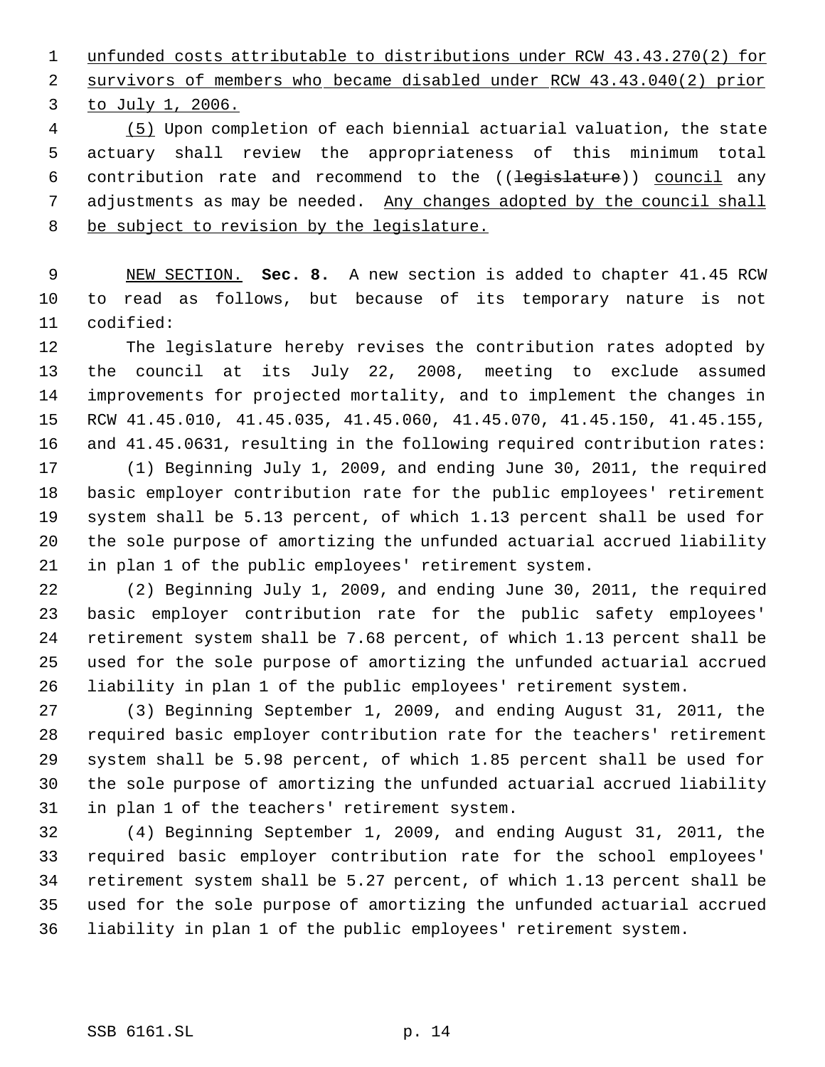unfunded costs attributable to distributions under RCW 43.43.270(2) for survivors of members who became disabled under RCW 43.43.040(2) prior to July 1, 2006.

 (5) Upon completion of each biennial actuarial valuation, the state actuary shall review the appropriateness of this minimum total 6 contribution rate and recommend to the ((legislature)) council any adjustments as may be needed. Any changes adopted by the council shall be subject to revision by the legislature.

 NEW SECTION. **Sec. 8.** A new section is added to chapter 41.45 RCW to read as follows, but because of its temporary nature is not codified:

 The legislature hereby revises the contribution rates adopted by the council at its July 22, 2008, meeting to exclude assumed improvements for projected mortality, and to implement the changes in RCW 41.45.010, 41.45.035, 41.45.060, 41.45.070, 41.45.150, 41.45.155, 16 and 41.45.0631, resulting in the following required contribution rates: (1) Beginning July 1, 2009, and ending June 30, 2011, the required

 basic employer contribution rate for the public employees' retirement system shall be 5.13 percent, of which 1.13 percent shall be used for the sole purpose of amortizing the unfunded actuarial accrued liability in plan 1 of the public employees' retirement system.

 (2) Beginning July 1, 2009, and ending June 30, 2011, the required basic employer contribution rate for the public safety employees' retirement system shall be 7.68 percent, of which 1.13 percent shall be used for the sole purpose of amortizing the unfunded actuarial accrued liability in plan 1 of the public employees' retirement system.

 (3) Beginning September 1, 2009, and ending August 31, 2011, the required basic employer contribution rate for the teachers' retirement system shall be 5.98 percent, of which 1.85 percent shall be used for the sole purpose of amortizing the unfunded actuarial accrued liability in plan 1 of the teachers' retirement system.

 (4) Beginning September 1, 2009, and ending August 31, 2011, the required basic employer contribution rate for the school employees' retirement system shall be 5.27 percent, of which 1.13 percent shall be used for the sole purpose of amortizing the unfunded actuarial accrued liability in plan 1 of the public employees' retirement system.